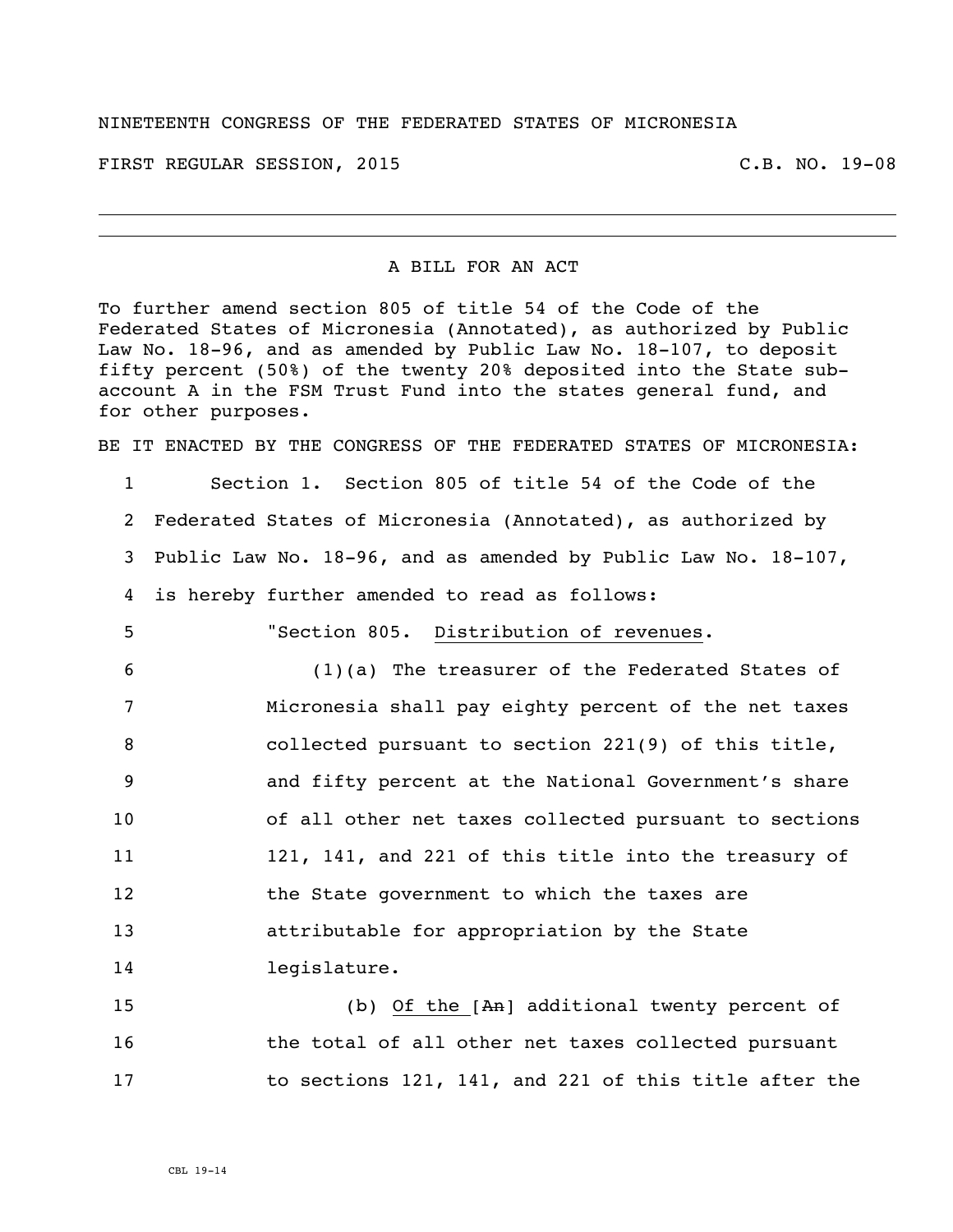## NINETEENTH CONGRESS OF THE FEDERATED STATES OF MICRONESIA

FIRST REGULAR SESSION, 2015 C.B. NO. 19-08

## A BILL FOR AN ACT

To further amend section 805 of title 54 of the Code of the Federated States of Micronesia (Annotated), as authorized by Public Law No. 18-96, and as amended by Public Law No. 18-107, to deposit fifty percent (50%) of the twenty 20% deposited into the State subaccount A in the FSM Trust Fund into the states general fund, and for other purposes.

BE IT ENACTED BY THE CONGRESS OF THE FEDERATED STATES OF MICRONESIA:

 Section 1. Section 805 of title 54 of the Code of the Federated States of Micronesia (Annotated), as authorized by Public Law No. 18-96, and as amended by Public Law No. 18-107, is hereby further amended to read as follows:

5 "Section 805. Distribution of revenues.

 (1)(a) The treasurer of the Federated States of Micronesia shall pay eighty percent of the net taxes collected pursuant to section 221(9) of this title, and fifty percent at the National Government's share of all other net taxes collected pursuant to sections 121, 141, and 221 of this title into the treasury of 12 the State government to which the taxes are attributable for appropriation by the State legislature.

15 (b) Of the [An] additional twenty percent of 16 the total of all other net taxes collected pursuant 17 to sections 121, 141, and 221 of this title after the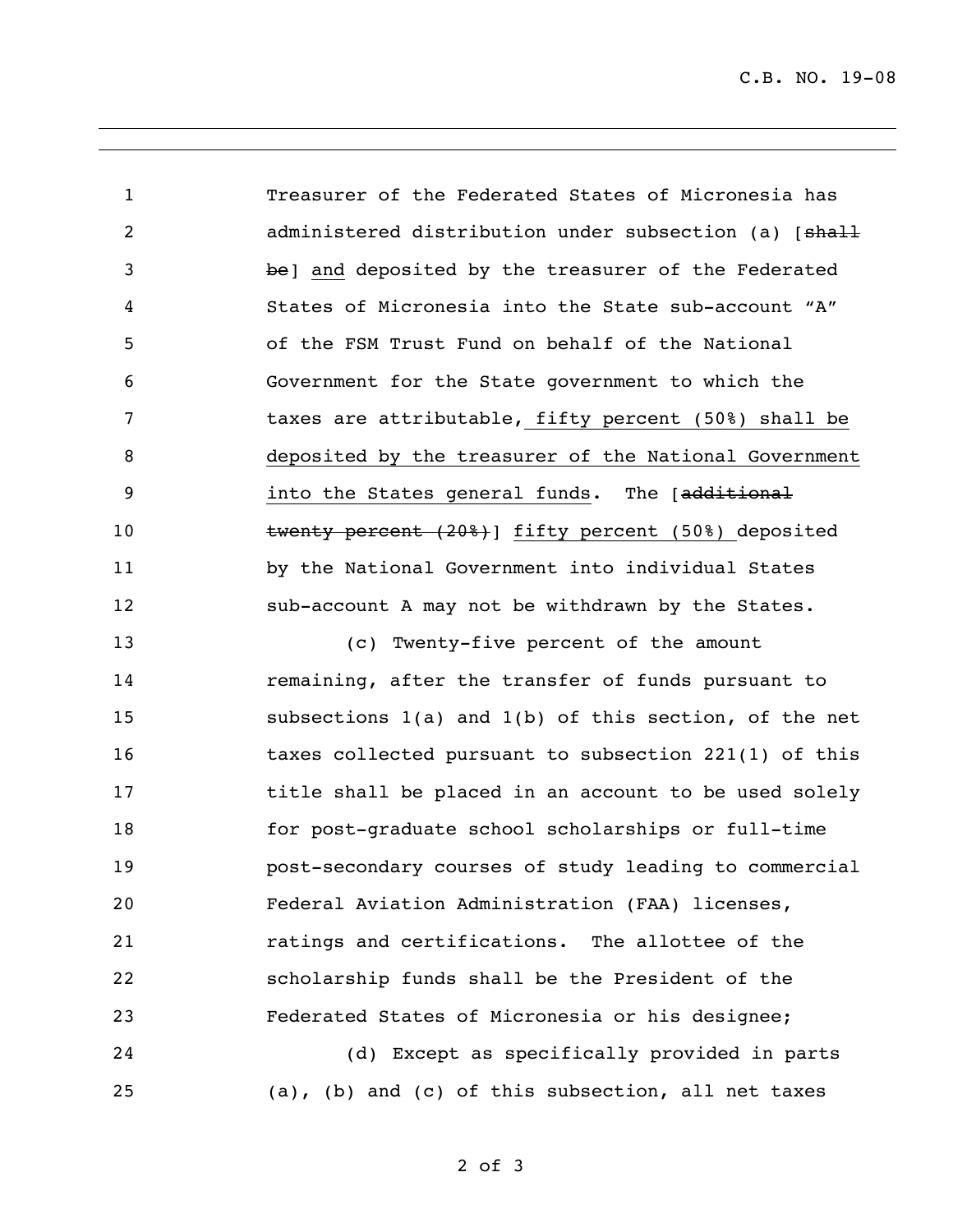C.B. NO. 19-08

 Treasurer of the Federated States of Micronesia has 2 administered distribution under subsection (a) [shall be] and deposited by the treasurer of the Federated States of Micronesia into the State sub-account "A" of the FSM Trust Fund on behalf of the National Government for the State government to which the taxes are attributable, fifty percent (50%) shall be deposited by the treasurer of the National Government **19** into the States general funds. The [<del>additional</del> 10 twenty percent (20%) ] fifty percent (50%) deposited by the National Government into individual States 12 sub-account A may not be withdrawn by the States.

 (c) Twenty-five percent of the amount remaining, after the transfer of funds pursuant to subsections 1(a) and 1(b) of this section, of the net 16 taxes collected pursuant to subsection 221(1) of this **title shall be placed in an account to be used solely**  for post-graduate school scholarships or full-time post-secondary courses of study leading to commercial Federal Aviation Administration (FAA) licenses, ratings and certifications. The allottee of the scholarship funds shall be the President of the Federated States of Micronesia or his designee; (d) Except as specifically provided in parts

(a), (b) and (c) of this subsection, all net taxes